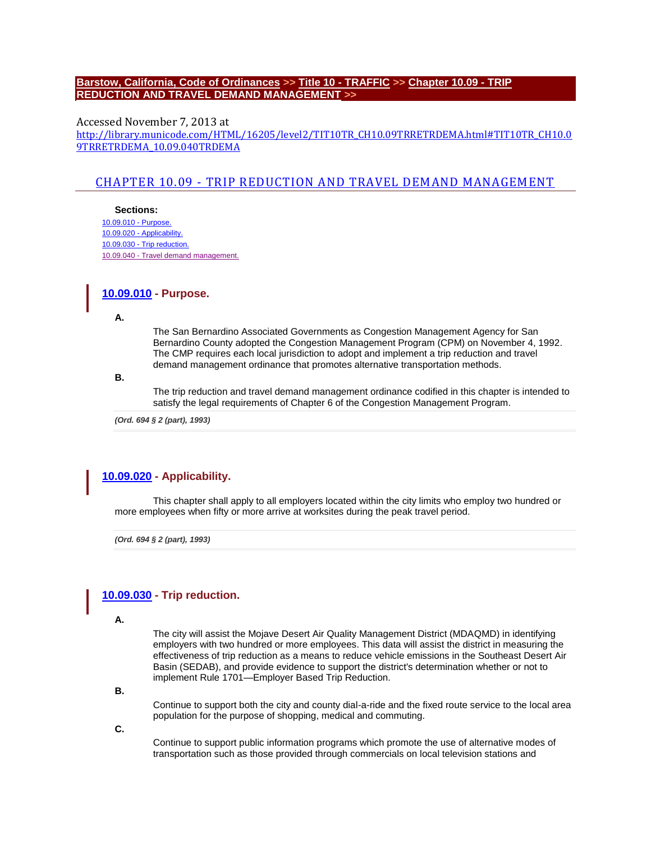### **[Barstow, California, Code of Ordinances](http://library.municode.com/HTML/16205/book.html) >> Title 10 - [TRAFFIC](http://library.municode.com/HTML/16205/level1/TIT10TR.html) >> [Chapter 10.09 -](http://library.municode.com/HTML/16205/level2/TIT10TR_CH10.09TRRETRDEMA.html) TRIP [REDUCTION AND TRAVEL DEMAND MANAGEMENT](http://library.municode.com/HTML/16205/level2/TIT10TR_CH10.09TRRETRDEMA.html) >>**

Accessed November 7, 2013 at [http://library.municode.com/HTML/16205/level2/TIT10TR\\_CH10.09TRRETRDEMA.html#TIT10TR\\_CH10.0](http://library.municode.com/HTML/16205/level2/TIT10TR_CH10.09TRRETRDEMA.html#TIT10TR_CH10.09TRRETRDEMA_10.09.040TRDEMA) [9TRRETRDEMA\\_10.09.040TRDEMA](http://library.municode.com/HTML/16205/level2/TIT10TR_CH10.09TRRETRDEMA.html#TIT10TR_CH10.09TRRETRDEMA_10.09.040TRDEMA)

# CHAPTER 10.09 - [TRIP REDUCTION AND TRAVEL DEMAND MANAGEMENT](javascript:void(0))

**Sections:** [10.09.010 -](http://library.municode.com/HTML/16205/level2/TIT10TR_CH10.09TRRETRDEMA.html#TIT10TR_CH10.09TRRETRDEMA_10.09.010PU) Purpose. 10.09.020 - [Applicability.](http://library.municode.com/HTML/16205/level2/TIT10TR_CH10.09TRRETRDEMA.html#TIT10TR_CH10.09TRRETRDEMA_10.09.020AP) 10.09.030 - [Trip reduction.](http://library.municode.com/HTML/16205/level2/TIT10TR_CH10.09TRRETRDEMA.html#TIT10TR_CH10.09TRRETRDEMA_10.09.030TRRE) 10.09.040 - [Travel demand management.](http://library.municode.com/HTML/16205/level2/TIT10TR_CH10.09TRRETRDEMA.html#TIT10TR_CH10.09TRRETRDEMA_10.09.040TRDEMA)

## **[10.09.010](javascript:void(0)) - Purpose.**

**A.**

The San Bernardino Associated Governments as Congestion Management Agency for San Bernardino County adopted the Congestion Management Program (CPM) on November 4, 1992. The CMP requires each local jurisdiction to adopt and implement a trip reduction and travel demand management ordinance that promotes alternative transportation methods.

**B.**

The trip reduction and travel demand management ordinance codified in this chapter is intended to satisfy the legal requirements of Chapter 6 of the Congestion Management Program.

*(Ord. 694 § 2 (part), 1993)* 

# **[10.09.020](javascript:void(0)) - Applicability.**

This chapter shall apply to all employers located within the city limits who employ two hundred or more employees when fifty or more arrive at worksites during the peak travel period.

*(Ord. 694 § 2 (part), 1993)* 

# **[10.09.030](javascript:void(0)) - Trip reduction.**

**A.**

The city will assist the Mojave Desert Air Quality Management District (MDAQMD) in identifying employers with two hundred or more employees. This data will assist the district in measuring the effectiveness of trip reduction as a means to reduce vehicle emissions in the Southeast Desert Air Basin (SEDAB), and provide evidence to support the district's determination whether or not to implement Rule 1701—Employer Based Trip Reduction.

**B.**

Continue to support both the city and county dial-a-ride and the fixed route service to the local area population for the purpose of shopping, medical and commuting.

**C.**

Continue to support public information programs which promote the use of alternative modes of transportation such as those provided through commercials on local television stations and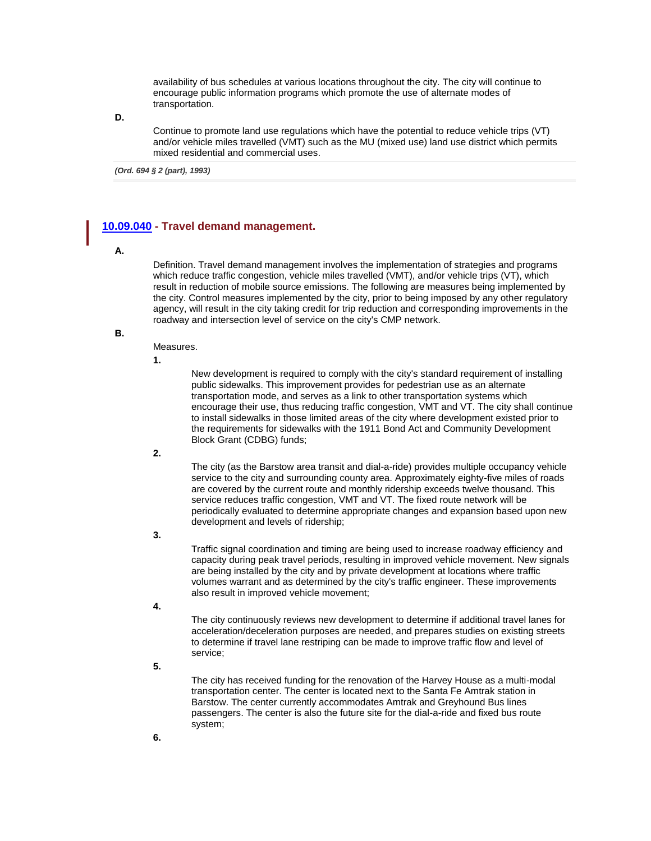availability of bus schedules at various locations throughout the city. The city will continue to encourage public information programs which promote the use of alternate modes of transportation.

**D.**

Continue to promote land use regulations which have the potential to reduce vehicle trips (VT) and/or vehicle miles travelled (VMT) such as the MU (mixed use) land use district which permits mixed residential and commercial uses.

*(Ord. 694 § 2 (part), 1993)* 

# **[10.09.040](javascript:void(0)) - Travel demand management.**

### **A.**

Definition. Travel demand management involves the implementation of strategies and programs which reduce traffic congestion, vehicle miles travelled (VMT), and/or vehicle trips (VT), which result in reduction of mobile source emissions. The following are measures being implemented by the city. Control measures implemented by the city, prior to being imposed by any other regulatory agency, will result in the city taking credit for trip reduction and corresponding improvements in the roadway and intersection level of service on the city's CMP network.

**B.**

### Measures.

**1.**

New development is required to comply with the city's standard requirement of installing public sidewalks. This improvement provides for pedestrian use as an alternate transportation mode, and serves as a link to other transportation systems which encourage their use, thus reducing traffic congestion, VMT and VT. The city shall continue to install sidewalks in those limited areas of the city where development existed prior to the requirements for sidewalks with the 1911 Bond Act and Community Development Block Grant (CDBG) funds;

**2.**

The city (as the Barstow area transit and dial-a-ride) provides multiple occupancy vehicle service to the city and surrounding county area. Approximately eighty-five miles of roads are covered by the current route and monthly ridership exceeds twelve thousand. This service reduces traffic congestion, VMT and VT. The fixed route network will be periodically evaluated to determine appropriate changes and expansion based upon new development and levels of ridership;

**3.**

Traffic signal coordination and timing are being used to increase roadway efficiency and capacity during peak travel periods, resulting in improved vehicle movement. New signals are being installed by the city and by private development at locations where traffic volumes warrant and as determined by the city's traffic engineer. These improvements also result in improved vehicle movement;

**4.**

The city continuously reviews new development to determine if additional travel lanes for acceleration/deceleration purposes are needed, and prepares studies on existing streets to determine if travel lane restriping can be made to improve traffic flow and level of service;

**5.**

The city has received funding for the renovation of the Harvey House as a multi-modal transportation center. The center is located next to the Santa Fe Amtrak station in Barstow. The center currently accommodates Amtrak and Greyhound Bus lines passengers. The center is also the future site for the dial-a-ride and fixed bus route system;